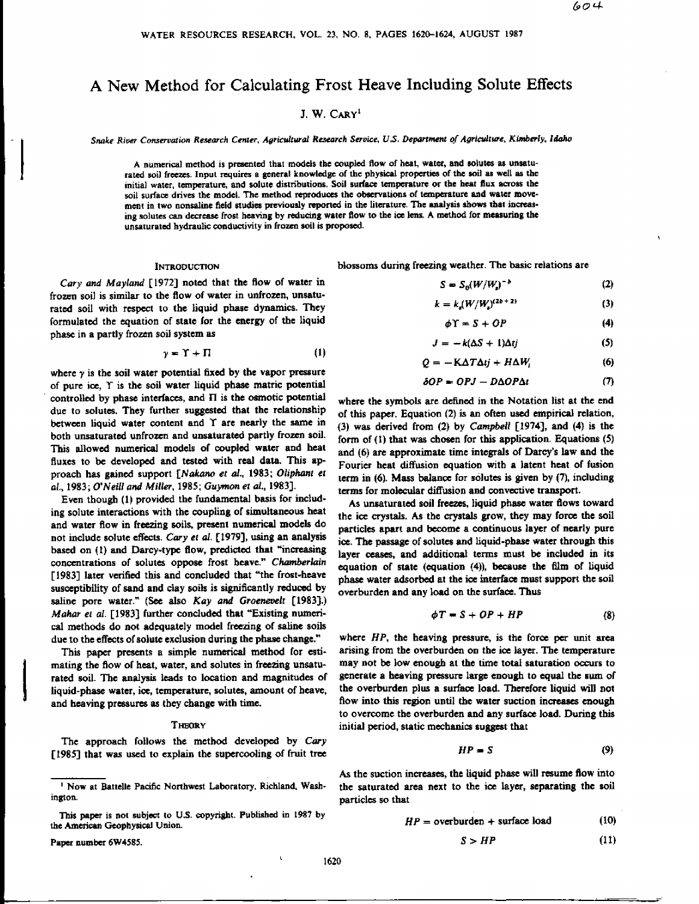# A New Method for Calculating Frost Heave Including Solute Effects

# J. W. CARY<sup>1</sup>

*Snake River Conservation Research Center, Agricultural Research Service, U.S. Department of Agriculture, Kimberly, Idaho*

A numerical method is presented that models the coupled flow of heat, water, and solutes as unsaturated soil freezes. Input requires a general knowledge of the physical properties of the soil as well as the initial water, temperature, and solute distributions. Soil surface temperature or the heat flux across the soil surface drives the model. The method reproduces the observations of temperature and water movement in two nonsaline field studies previously reported in the literature. The analysis shows that increasing solutes can decrease frost heaving by reducing water flow to the ice lens. A method for measuring the unsaturated hydraulic conductivity in frozen soil *is* proposed.

#### INTRODUCTION

*Cary and Mayland* [1972] noted that the flow of water in frozen soil is similar to the flow of water in unfrozen, unsaturated soil with respect to the liquid phase dynamics. They formulated the equation of state for the energy of the liquid phase in a partly frozen soil system as

$$
\gamma = \Upsilon + \Pi \tag{1}
$$

where y is *the* soil water potential fixed by the vapor pressure of pure ice, T is the soil water liquid phase matric potential controlled by phase interfaces, and *11* is the osmotic potential due to solutes. They further suggested that the relationship between liquid water content and T are nearly the same in both unsaturated unfrozen and unsaturated partly frozen soil. This allowed numerical models of coupled water and heat fluxes to be developed and tested with real data. This approach has gained support *[Nakano et a!.,* 1983; *Oliphant et al.,* 1983; *O'Neill and Miller,* 1985; *Guymon et al.,* 1983].

Even though (1) provided the fundamental basis for **including solute interactions with the coupling** of simultaneous heat and water flow in Freezing soils, present numerical models do not include solute effects. *Cary et al.* [1979], using an analysis based on *(1)* and Darcy-type flow, predicted that "increasing concentrations of solutes oppose frost heave." *Chamberlain* [1983] later verified this and concluded that "the frost-heave susceptibility of sand and clay soils is significantly reduced by saline pore water." (See also *Kay and Graenevelt* **[1983].)** *Mahar et a!.* **[1983] further** concluded that "Existing numerical methods do not adequately model freezing of saline soils due to the effects of solute exclusion during the phase change."

This paper presents a simple numerical method for estimating the flow of heat, water, and solutes in freezing unsaturated soil. The analysis leads to location and magnitudes of liquid-phase water, *ice,* temperature, solutes, amount of heave, and heaving pressures as they change with time.

#### **THEORY**

The approach follows the method developed by *Cary* [1985] that was used to explain the supercooling of fruit tree

This paper is not subject to U.S. copyright. Published in 1987 by the American Geophysical Union.

Paper number 6W4585.

blossoms during freezing weather. The basic relations are

$$
S = S_0(W/W_s)^{-b} \tag{2}
$$

$$
k = k_s (W/W_s)^{(2b+2)}
$$
 (3)

$$
\phi \Upsilon = S + OP \tag{4}
$$

$$
J = -k(\Delta S + 1)\Delta t j \tag{5}
$$

$$
Q = -K\Delta T\Delta t j + H\Delta W_i \tag{6}
$$

$$
\delta OP = OPJ - D\Delta OP\Delta t \tag{7}
$$

where the symbols are defined in the Notation list at the end of this paper. Equation (2) is an often used empirical relation, (3) was derived from (2) by *Campbell* [1974], and (4) is the form of (1) that was chosen for this application. Equations (5) and (6) are approximate *time* integrals of Darcy's law and the Fourier heat diffusion equation with a latent heat of fusion term in (6). Mass balance for solutes is given by (7), including terms for molecular diffusion and convective transport.

As unsaturated soil freezes, liquid phase water flows toward the *ice* crystals. As the crystals grow, they may force the soil particles apart and become a continuous layer of nearly pure ice. The passage of solutes and liquid-phase water through this layer ceases, and additional terms must be included in its equation of state (equation (4)), because the film of liquid phase water adsorbed at the ice interface must support the soil overburden and any load on the surface. Thus

$$
\phi T = S + OP + HP \tag{8}
$$

where *HP, the* heaving pressure, is the force per unit area arising from the overburden on the ice layer. The temperature may not be low enough at the time total saturation occurs to generate a heaving pressure large enough to equal the sum of the overburden plus a surface load. Therefore liquid will not flow into this region until the water suction increases enough to overcome the overburden and any surface load. During this initial period, static mechanics suggest that

$$
HP = S \tag{9}
$$

As the suction increases, the liquid phase will resume flow into the saturated area next to the ice layer, separating the soil particles so that

$$
HP = \text{overburden} + \text{surface load} \tag{10}
$$

$$
S > HP
$$
 (11)

<sup>&</sup>lt;sup>1</sup> Now at Battelle Pacific Northwest Laboratory, Richland, Washington.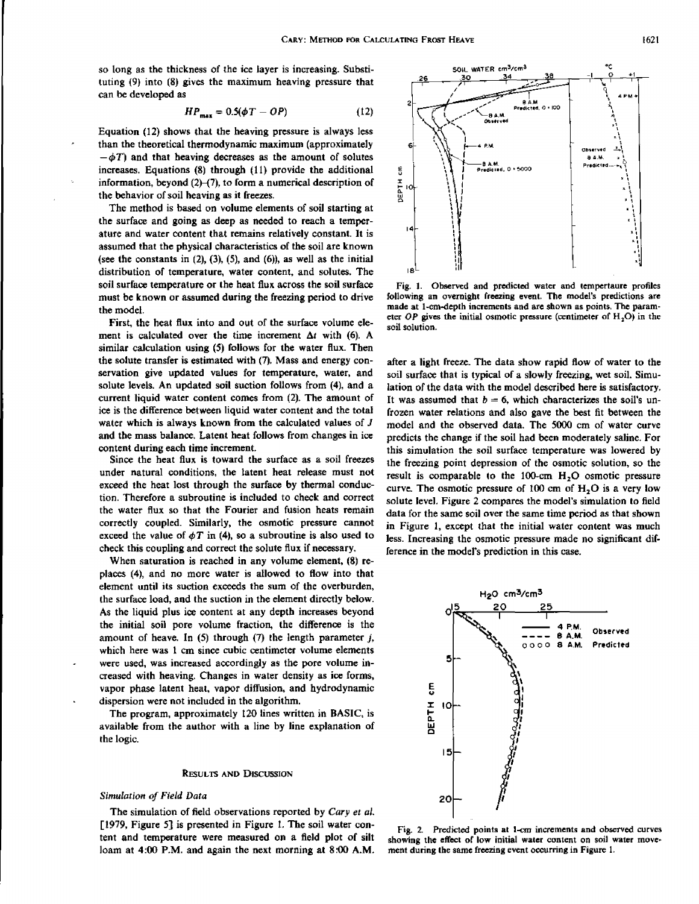so long as the thickness of the ice layer is increasing. Substituting (9) into (8) gives the maximum heaving pressure that can be developed *as*

$$
HP_{\text{max}} = 0.5(\phi T - OP) \tag{12}
$$

Equation (12) shows that the heaving pressure is always less than the theoretical thermodynamic maximum (approximately  $-\phi T$ ) and that heaving decreases as the amount of solutes increases. Equations (8) through (11) provide the additional information, beyond  $(2)$ – $(7)$ , to form a numerical description of the behavior of soil heaving as it freezes.

The method is based on volume elements of soil starting at the surface and going as deep as needed to reach a temperature and water content that remains relatively constant. It is assumed that the physical characteristics of the soil are known (see the constants in  $(2)$ ,  $(3)$ ,  $(5)$ , and  $(6)$ ), as well as the initial distribution of temperature, water content, and solutes. The soil surface temperature or the heat flux across the soil surface must be known or assumed during the freezing period to drive the model.

First, the heat flux into and out of the surface volume element is calculated over the time increment  $\Delta t$  with (6). A similar calculation using (5) follows for the water flux. Then the solute transfer is estimated with (7). Mass and energy conservation give updated values for temperature, water, and solute levels. An updated soil suction follows from (4), and a current liquid water content comes from (2). The amount of ice is the difference between liquid water content and the total water which is always known from the calculated values of *J* and the mass balance. Latent heat follows from changes in ice content during each time increment.

Since the heat flux is toward the surface as a soil freezes under natural conditions, the latent heat release must not exceed the heat lost through the surface by thermal conduction. Therefore a subroutine is included to check and correct the water flux so that the Fourier and fusion heats remain correctly coupled. Similarly, the osmotic pressure cannot exceed the value of  $\phi T$  in (4), so a subroutine is also used to check this coupling and correct the solute flux if necessary.

When saturation is reached in any volume element, (8) replaces (4), and no more water is allowed to flow into that element until its suction exceeds the sum of the overburden, the surface load, and the suction in the element directly below. As the liquid plus *ice* content at any depth increases beyond the initial soil pore volume fraction, the difference is the amount of heave. In (5) through (7) the length parameter *j,* which here was *1* cm since cubic centimeter volume elements were used, was increased accordingly as the pore volume increased with heaving. Changes in water density as ice forms, vapor phase latent heat, vapor diffusion, and hydrodynamic dispersion were not included in the algorithm.

The program, approximately 120 lines written in BASIC, is available from the author with a line by line explanation of the logic.

#### RESULTS AND DISCUSSION

## *Simulation of Field Data*

The simulation of field observations reported by *Cary et al.* [1979, Figure 5] is presented in Figure 1. The soil water content and temperature were measured on a field plot of silt loam at 4:00 P.M. and again the next morning at 8:00 A.M.



Fig. 1. Observed and predicted water and tempertaure profiles following an overnight freezing event. The model's predictions are made at 1-cm-depth increments and are shown as points. The parameter  $OP$  gives the initial osmotic pressure (centimeter of  $H_2O$ ) in the soil solution.

after a light freeze. The data show rapid flow of water to the soil surface that is typical of a slowly freezing, wet soil. Simulation of the data with the model described here *is* satisfactory. It was assumed that  $b = 6$ , which characterizes the soil's unfrozen water relations and also gave the best fit between the model and the observed data. The 5000 cm of water curve predicts the change if the soil had been moderately saline. For this simulation the soil surface temperature was lowered by the freezing point depression of the osmotic solution, so the result is comparable to the 100-cm  $H<sub>2</sub>O$  osmotic pressure curve. The osmotic pressure of 100 cm of H<sub>2</sub>O is a very low solute level. Figure 2 compares the model's simulation to field data for the same soil over the same time period *as that* shown in Figure 1, except that the initial water content was much less. Increasing the osmotic pressure made no significant difference in the model's prediction in this case.



Fig. 2. Predicted points at 1-cm increments and observed curves showing the effect of low initial water content on soil water movement during the same freezing event occurring in Figure 1.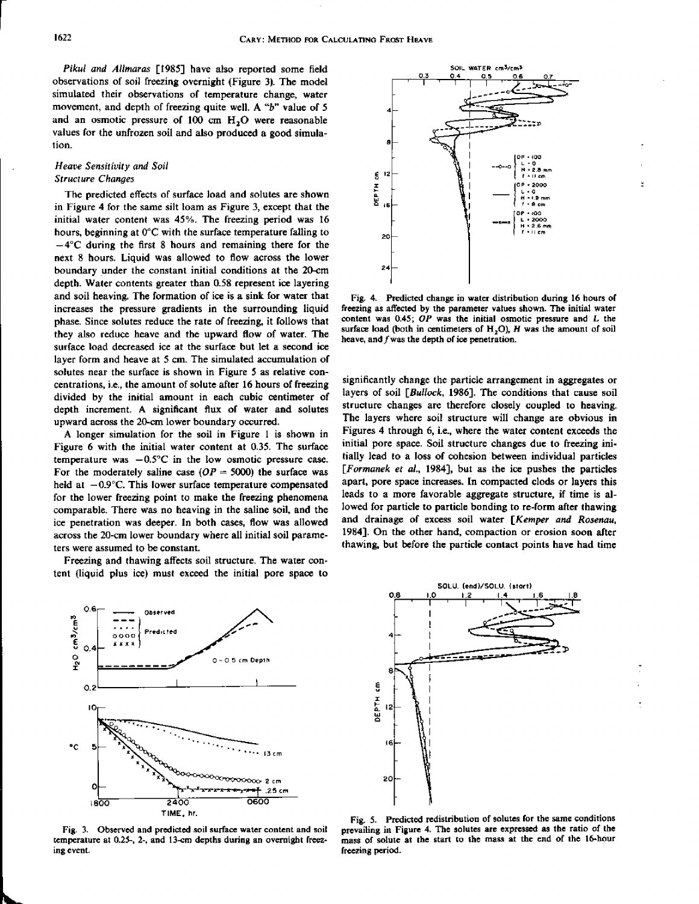*Pikul and Allmaras* [1985] have also reported some field observations of soil freezing overnight (Figure 3). The model simulated their observations of temperature change, water movement, and depth of freezing quite well. A "b" value of 5 and an osmotic pressure of 100 cm H<sub>2</sub>O were reasonable values for the unfrozen soil and also produced a good simulation.

# *Heave Sensitivity and Soil Structure Changes*

The predicted effects of surface load and solutes are shown in Figure 4 for the same silt loam *as* Figure 3, except that the initial water content was 45%. The freezing period was 16 hours, beginning at 0°C with *the* surface temperature falling to  $-4$ °C during the first 8 hours and remaining there for the next 8 hours. Liquid was allowed to flow across the lower boundary under the constant initial conditions at the 20-cm depth. Water contents greater than 0.58 represent ice layering and soil heaving. The formation of ice is a sink for water that increases the pressure gradients in the surrounding liquid phase. Since solutes reduce the rate of freezing, it follows that they also reduce heave and the upward flow of water. The surface load decreased ice at the surface but let a second ice layer form and heave at 5 cm. The simulated accumulation of solutes near the surface is shown in Figure 5 as relative concentrations, i.e., the amount of solute after 16 hours of freezing divided by the initial amount in each cubic centimeter of depth increment. A significant flux of water and solutes upward across the 20-cm lower boundary occurred.

A longer simulation for the soil in Figure 1 is shown in Figure 6 with the initial water content at 0.35. The surface temperature was —0.5°C in the low osmotic pressure *case.* For the moderately saline case  $OP = 5000$ ) the surface was held at  $-0.9^{\circ}$ C. This lower surface temperature compensated for the lower freezing point to make the freezing phenomena comparable. There was no heaving in the saline soil, and the ice penetration was deeper. In both cases, flow was allowed across the 20-cm lower boundary where all initial soil parameters were assumed to be constant.

Freezing and thawing affects soil structure. The water content (liquid plus *ice)* must exceed the initial pore space to



Fig. 3. Observed and predicted soil surface water content and soil temperature at 0.25-, 2-, and 13-cm depths during an overnight freezing event.



Fig. 4. Predicted change in water distribution during 16 hours of freezing as affected by the parameter values shown. The initial water content was 0.45; *OP was* the initial osmotic pressure and L the surface load (both in centimeters of  $H<sub>2</sub>O$ ),  $H$  was the amount of soil heave, and *f* was the depth of ice penetration.

significantly change the particle arrangement in aggregates or layers of soil *[Bullock,* 1986]. The conditions that cause soil structure changes are therefore closely coupled to heaving. The layers where soil structure will change are obvious in Figures 4 through 6, i.e., where the water content exceeds the initial pore space. Soil structure changes due to freezing initially lead to a loss of cohesion between individual particles *[Formanek et al.,* 1984], but *as* the ice pushes the particles apart, pore space increases. In compacted clods or layers this leads to a more favorable aggregate structure, if time is allowed for particle to particle bonding to re-form after thawing and drainage of excess soil water *[Kemper and Rosenau,* 1984]. On the other hand, compaction or erosion soon after thawing, but before the particle contact points have had time



Fig. 5. Predicted redistribution of solutes for the same conditions prevailing in Figure 4. The solutes are expressed *as the ratio* of the mass of solute at the start to the mass at the end of the 16-hour freezing period.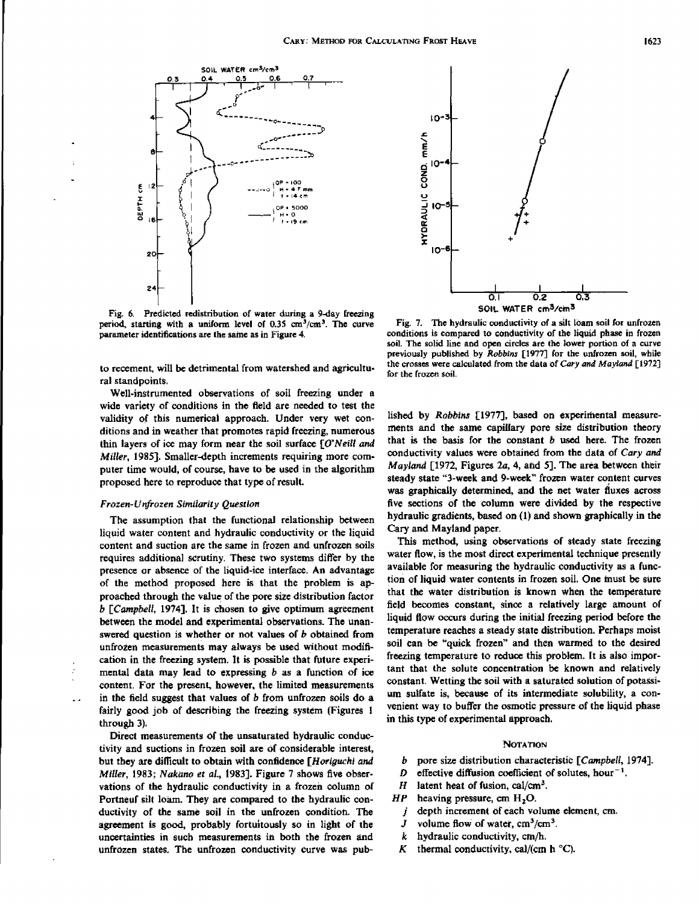

Fig. 6. Predicted redistribution of water during a 9-day freezing period, starting with a uniform level of  $0.35 \text{ cm}^3/\text{cm}^3$ . The curve parameter identifications are the same as in Figure 4.

to recement, will be detrimental from watershed and agricultural standpoints.

Well-instrumented observations of soil freezing under a wide variety of conditions in the field are needed to test the validity of this numerical approach. Under very wet conditions and in weather that promotes rapid freezing, numerous thin layers of ice may form near the soil surface *[O'Neill and Miller,* 1985]. Smaller-depth increments requiring more computer time would, of course, have to be used in the algorithm proposed here to reproduce that type of result.

# *Frozen-Unfrozen Similarity Question*

The assumption that the functional relationship between liquid water content and hydraulic conductivity or the liquid content and suction are the same in frozen and unfrozen soils requires additional scrutiny. These two systems differ by the presence or absence of the liquid-ice interface. An advantage of the method proposed here is that the problem is approached through the value of the pore size distribution factor *b [Campbell,* 1974]. It is chosen to give optimum agreement between the model and experimental observations. The unanswered question is whether or not values of b obtained from unfrozen measurements may always be used without modification in the freezing system. It is possible that future experimental data may lead to expressing *b as* a function of ice content. For the present, however, the limited measurements in the field suggest that values of *b* from unfrozen soils do a fairly good job of describing the freezing system (Figures 1 through 3).

Direct measurements of the unsaturated hydraulic conductivity and suctions in frozen soil are of considerable interest, but they are difficult to obtain with confidence *[Horiguchi and Miller,* 1983; *Nakano et al.,* 1983]. Figure 7 shows five observations of the hydraulic conductivity in a frozen column of Portneuf silt loam. They are compared to the hydraulic conductivity of the same soil in the unfrozen condition. The agreement is good, probably fortuitously so in light of the uncertainties in such measurements in both the frozen and unfrozen states. The unfrozen conductivity curve was pub-



Fig. 7. The hydraulic conductivity of a silt loam soil for unfrozen conditions is compared to conductivity of the liquid phase in frozen soil. The solid line and open circles are the lower portion of a curve previously published by *Robbins* [1977] for the unfrozen soil, while the crosses were calculated from the data of *Cary and Mayland* [1972] for the frozen soil.

lished by *Robbins* [1977], based on experimental measurements and the same capillary pore size distribution theory that is the basis for the constant *b* used here. The frozen conductivity values were obtained from the data of *Cary and Mayland* [1972, Figures 2a, 4, and 5]. The area between their steady state "3-week and 9-week" frozen water content curves *was* graphically determined, and the net water fluxes across five sections of the column were divided by the respective hydraulic gradients, based on (1) and shown graphically in the Cary and Mayland paper.

This method, using observations of steady state freezing water flow, is the most direct experimental technique presently available for measuring the hydraulic conductivity as a function of liquid water contents in frozen soil. One must be sure that the water distribution is known when the temperature field becomes constant, since a relatively large amount of liquid flow occurs during the initial freezing period before the temperature reaches a steady state distribution. Perhaps moist soil can be "quick frozen" and then warmed to the desired freezing temperature to reduce this problem. It is also important that the solute concentration be known and relatively constant. Wetting the soil with a saturated solution of potassium sulfate is, because of its intermediate solubility, a convenient way to buffer the osmotic pressure of the liquid phase in this type of experimental approach.

### **NOTATION**

- b pore size distribution characteristic *[Campbell,* 1974].
- D effective diffusion coefficient of solutes, hour<sup>-1</sup>.
- H latent heat of fusion, cal/cm<sup>3</sup>.
- $HP$  heaving pressure, cm  $H<sub>2</sub>O$ .
- $j$  depth increment of each volume element, cm.
- J volume flow of water,  $cm^3/cm^3$ .
- k hydraulic conductivity, cm/h.
- K thermal conductivity, cal/(cm h  $^{\circ}$ C).